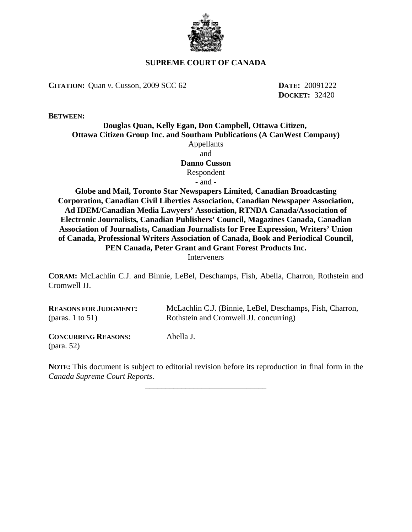

# **SUPREME COURT OF CANADA**

**CITATION:** Quan *v.* Cusson, 2009 SCC 62 **DATE:** 20091222

**DOCKET:** 32420

**BETWEEN:**

# **Douglas Quan, Kelly Egan, Don Campbell, Ottawa Citizen, Ottawa Citizen Group Inc. and Southam Publications (A CanWest Company)** Appellants and **Danno Cusson** Respondent

- and -

**Globe and Mail, Toronto Star Newspapers Limited, Canadian Broadcasting Corporation, Canadian Civil Liberties Association, Canadian Newspaper Association, Ad IDEM/Canadian Media Lawyers' Association, RTNDA Canada/Association of Electronic Journalists, Canadian Publishers' Council, Magazines Canada, Canadian Association of Journalists, Canadian Journalists for Free Expression, Writers' Union of Canada, Professional Writers Association of Canada, Book and Periodical Council, PEN Canada, Peter Grant and Grant Forest Products Inc. Interveners** 

**CORAM:** McLachlin C.J. and Binnie, LeBel, Deschamps, Fish, Abella, Charron, Rothstein and Cromwell JJ.

| <b>REASONS FOR JUDGMENT:</b> | McLachlin C.J. (Binnie, LeBel, Deschamps, Fish, Charron, |
|------------------------------|----------------------------------------------------------|
| (paras. 1 to $51$ )          | Rothstein and Cromwell JJ. concurring)                   |
| <b>CONCURRING REASONS:</b>   | Abella J.                                                |

**NOTE:** This document is subject to editorial revision before its reproduction in final form in the *Canada Supreme Court Reports*.

\_\_\_\_\_\_\_\_\_\_\_\_\_\_\_\_\_\_\_\_\_\_\_\_\_\_\_\_\_\_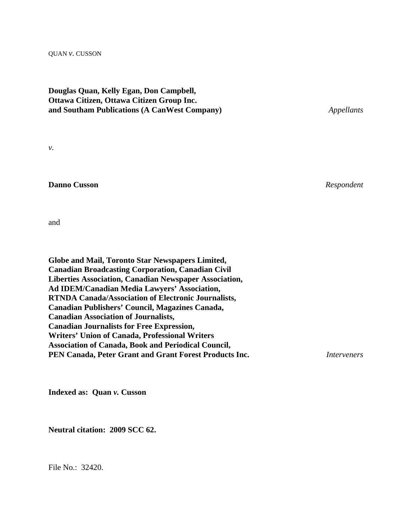#### QUAN *v.* CUSSON

# **Douglas Quan, Kelly Egan, Don Campbell, Ottawa Citizen, Ottawa Citizen Group Inc. and Southam Publications (A CanWest Company)** *Appellants*

*v.*

## **Danno Cusson** *Respondent*

and

| <b>Globe and Mail, Toronto Star Newspapers Limited,</b>       |             |
|---------------------------------------------------------------|-------------|
| <b>Canadian Broadcasting Corporation, Canadian Civil</b>      |             |
| <b>Liberties Association, Canadian Newspaper Association,</b> |             |
| <b>Ad IDEM/Canadian Media Lawyers' Association,</b>           |             |
| <b>RTNDA Canada/Association of Electronic Journalists,</b>    |             |
| Canadian Publishers' Council, Magazines Canada,               |             |
| <b>Canadian Association of Journalists,</b>                   |             |
| <b>Canadian Journalists for Free Expression,</b>              |             |
| <b>Writers' Union of Canada, Professional Writers</b>         |             |
| <b>Association of Canada, Book and Periodical Council,</b>    |             |
| PEN Canada, Peter Grant and Grant Forest Products Inc.        | Interveners |
|                                                               |             |

**Indexed as: Quan** *v.* **Cusson**

**Neutral citation: 2009 SCC 62.**

File No.: 32420.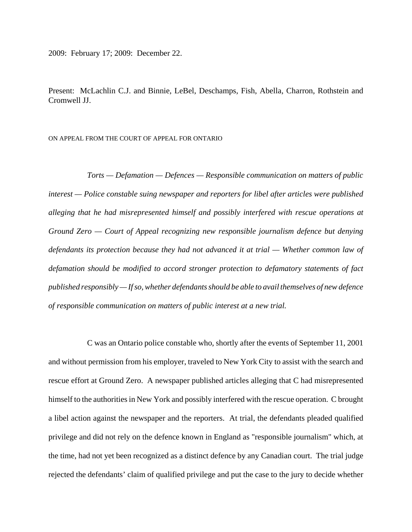2009: February 17; 2009: December 22.

Present: McLachlin C.J. and Binnie, LeBel, Deschamps, Fish, Abella, Charron, Rothstein and Cromwell JJ.

ON APPEAL FROM THE COURT OF APPEAL FOR ONTARIO

*Torts — Defamation — Defences — Responsible communication on matters of public interest — Police constable suing newspaper and reporters for libel after articles were published alleging that he had misrepresented himself and possibly interfered with rescue operations at Ground Zero — Court of Appeal recognizing new responsible journalism defence but denying defendants its protection because they had not advanced it at trial — Whether common law of defamation should be modified to accord stronger protection to defamatory statements of fact published responsibly — If so, whether defendants should be able to avail themselves of new defence of responsible communication on matters of public interest at a new trial.*

C was an Ontario police constable who, shortly after the events of September 11, 2001 and without permission from his employer, traveled to New York City to assist with the search and rescue effort at Ground Zero. A newspaper published articles alleging that C had misrepresented himself to the authorities in New York and possibly interfered with the rescue operation. C brought a libel action against the newspaper and the reporters. At trial, the defendants pleaded qualified privilege and did not rely on the defence known in England as "responsible journalism" which, at the time, had not yet been recognized as a distinct defence by any Canadian court. The trial judge rejected the defendants' claim of qualified privilege and put the case to the jury to decide whether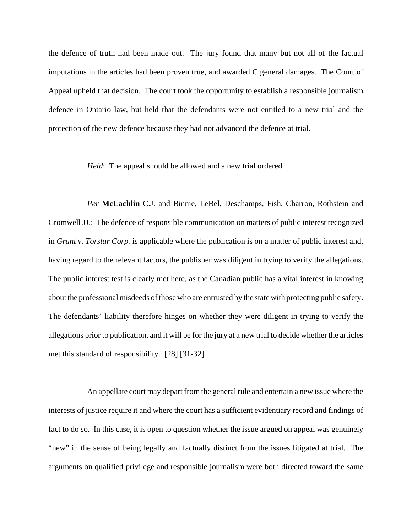the defence of truth had been made out. The jury found that many but not all of the factual imputations in the articles had been proven true, and awarded C general damages. The Court of Appeal upheld that decision. The court took the opportunity to establish a responsible journalism defence in Ontario law, but held that the defendants were not entitled to a new trial and the protection of the new defence because they had not advanced the defence at trial.

*Held*: The appeal should be allowed and a new trial ordered.

*Per* **McLachlin** C.J. and Binnie, LeBel, Deschamps, Fish, Charron, Rothstein and Cromwell JJ.: The defence of responsible communication on matters of public interest recognized in *Grant v. Torstar Corp.* is applicable where the publication is on a matter of public interest and, having regard to the relevant factors, the publisher was diligent in trying to verify the allegations. The public interest test is clearly met here, as the Canadian public has a vital interest in knowing about the professional misdeeds of those who are entrusted by the state with protecting public safety. The defendants' liability therefore hinges on whether they were diligent in trying to verify the allegations prior to publication, and it will be for the jury at a new trial to decide whether the articles met this standard of responsibility. [28] [31-32]

An appellate court may depart from the general rule and entertain a new issue where the interests of justice require it and where the court has a sufficient evidentiary record and findings of fact to do so. In this case, it is open to question whether the issue argued on appeal was genuinely "new" in the sense of being legally and factually distinct from the issues litigated at trial. The arguments on qualified privilege and responsible journalism were both directed toward the same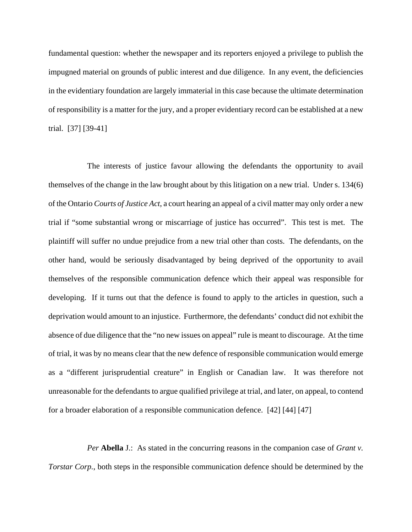fundamental question: whether the newspaper and its reporters enjoyed a privilege to publish the impugned material on grounds of public interest and due diligence. In any event, the deficiencies in the evidentiary foundation are largely immaterial in this case because the ultimate determination of responsibility is a matter for the jury, and a proper evidentiary record can be established at a new trial. [37] [39-41]

The interests of justice favour allowing the defendants the opportunity to avail themselves of the change in the law brought about by this litigation on a new trial. Under s. 134(6) of the Ontario *Courts of Justice Act*, a court hearing an appeal of a civil matter may only order a new trial if "some substantial wrong or miscarriage of justice has occurred". This test is met. The plaintiff will suffer no undue prejudice from a new trial other than costs. The defendants, on the other hand, would be seriously disadvantaged by being deprived of the opportunity to avail themselves of the responsible communication defence which their appeal was responsible for developing. If it turns out that the defence is found to apply to the articles in question, such a deprivation would amount to an injustice. Furthermore, the defendants' conduct did not exhibit the absence of due diligence that the "no new issues on appeal" rule is meant to discourage. At the time of trial, it was by no means clear that the new defence of responsible communication would emerge as a "different jurisprudential creature" in English or Canadian law. It was therefore not unreasonable for the defendants to argue qualified privilege at trial, and later, on appeal, to contend for a broader elaboration of a responsible communication defence. [42] [44] [47]

*Per* **Abella** J.: As stated in the concurring reasons in the companion case of *Grant v. Torstar Corp.*, both steps in the responsible communication defence should be determined by the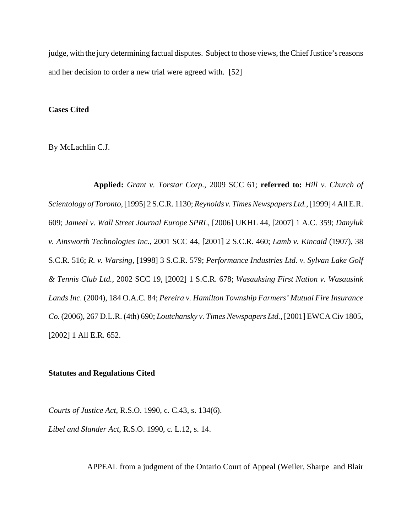judge, with the jury determining factual disputes. Subject to those views, the Chief Justice's reasons and her decision to order a new trial were agreed with. [52]

### **Cases Cited**

By McLachlin C.J.

 **Applied:** *Grant v. Torstar Corp.*, 2009 SCC 61; **referred to:** *Hill v. Church of Scientology of Toronto*, [1995] 2 S.C.R. 1130; *Reynolds v. Times Newspapers Ltd.*, [1999] 4 All E.R. 609; *Jameel v. Wall Street Journal Europe SPRL*, [2006] UKHL 44, [2007] 1 A.C. 359; *Danyluk v. Ainsworth Technologies Inc.*, 2001 SCC 44, [2001] 2 S.C.R. 460; *Lamb v. Kincaid* (1907), 38 S.C.R. 516; *R. v. Warsing*, [1998] 3 S.C.R. 579; *Performance Industries Ltd. v. Sylvan Lake Golf & Tennis Club Ltd.*, 2002 SCC 19, [2002] 1 S.C.R. 678; *Wasauksing First Nation v. Wasausink Lands Inc.* (2004), 184 O.A.C. 84; *Pereira v. Hamilton Township Farmers' Mutual Fire Insurance Co.* (2006), 267 D.L.R. (4th) 690; *Loutchansky v. Times Newspapers Ltd.*, [2001] EWCA Civ 1805, [2002] 1 All E.R. 652.

### **Statutes and Regulations Cited**

*Courts of Justice Act*, R.S.O. 1990, c. C.43, s. 134(6).

*Libel and Slander Act*, R.S.O. 1990, c. L.12, s. 14.

APPEAL from a judgment of the Ontario Court of Appeal (Weiler, Sharpe and Blair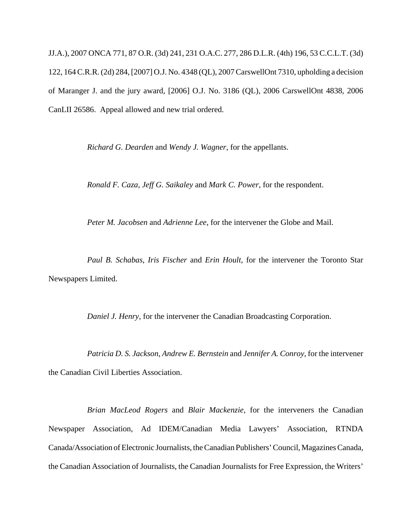JJ.A.), 2007 ONCA 771, 87 O.R. (3d) 241, 231 O.A.C. 277, 286 D.L.R. (4th) 196, 53 C.C.L.T. (3d) 122, 164 C.R.R. (2d) 284, [2007] O.J. No. 4348 (QL), 2007 CarswellOnt 7310, upholding a decision of Maranger J. and the jury award, [2006] O.J. No. 3186 (QL), 2006 CarswellOnt 4838, 2006 CanLII 26586. Appeal allowed and new trial ordered.

*Richard G. Dearden* and *Wendy J. Wagner*, for the appellants.

*Ronald F. Caza*, *Jeff G. Saikaley* and *Mark C. Power*, for the respondent.

*Peter M. Jacobsen* and *Adrienne Lee*, for the intervener the Globe and Mail.

*Paul B. Schabas*, *Iris Fischer* and *Erin Hoult*, for the intervener the Toronto Star Newspapers Limited.

*Daniel J. Henry*, for the intervener the Canadian Broadcasting Corporation.

*Patricia D. S. Jackson*, *Andrew E. Bernstein* and *Jennifer A. Conroy*, for the intervener the Canadian Civil Liberties Association.

*Brian MacLeod Rogers* and *Blair Mackenzie*, for the interveners the Canadian Newspaper Association, Ad IDEM/Canadian Media Lawyers' Association, RTNDA Canada/Association of Electronic Journalists, the Canadian Publishers' Council, Magazines Canada, the Canadian Association of Journalists, the Canadian Journalists for Free Expression, the Writers'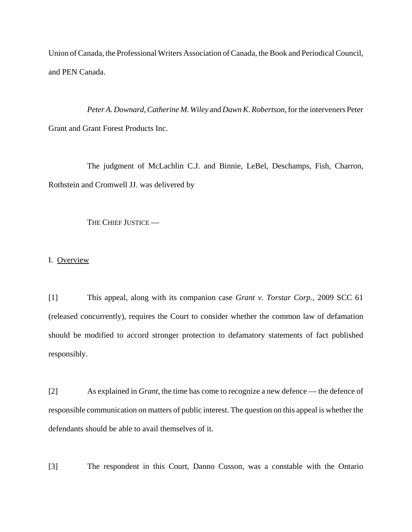Union of Canada, the Professional Writers Association of Canada, the Book and Periodical Council, and PEN Canada.

*Peter A. Downard*, *Catherine M. Wiley* and *Dawn K. Robertson*, for the interveners Peter Grant and Grant Forest Products Inc.

The judgment of McLachlin C.J. and Binnie, LeBel, Deschamps, Fish, Charron, Rothstein and Cromwell JJ. was delivered by

THE CHIEF JUSTICE —

I. Overview

[1] This appeal, along with its companion case *Grant v. Torstar Corp.*, 2009 SCC 61 (released concurrently), requires the Court to consider whether the common law of defamation should be modified to accord stronger protection to defamatory statements of fact published responsibly.

[2] As explained in *Grant*, the time has come to recognize a new defence — the defence of responsible communication on matters of public interest. The question on this appeal is whether the defendants should be able to avail themselves of it.

[3] The respondent in this Court, Danno Cusson, was a constable with the Ontario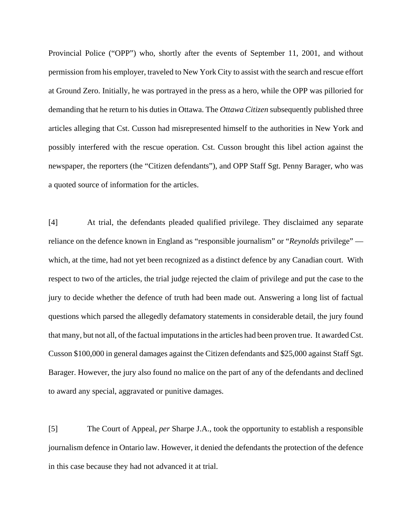Provincial Police ("OPP") who, shortly after the events of September 11, 2001, and without permission from his employer, traveled to New York City to assist with the search and rescue effort at Ground Zero. Initially, he was portrayed in the press as a hero, while the OPP was pilloried for demanding that he return to his duties in Ottawa. The *Ottawa Citizen* subsequently published three articles alleging that Cst. Cusson had misrepresented himself to the authorities in New York and possibly interfered with the rescue operation. Cst. Cusson brought this libel action against the newspaper, the reporters (the "Citizen defendants"), and OPP Staff Sgt. Penny Barager, who was a quoted source of information for the articles.

[4] At trial, the defendants pleaded qualified privilege. They disclaimed any separate reliance on the defence known in England as "responsible journalism" or "*Reynolds* privilege" which, at the time, had not yet been recognized as a distinct defence by any Canadian court. With respect to two of the articles, the trial judge rejected the claim of privilege and put the case to the jury to decide whether the defence of truth had been made out. Answering a long list of factual questions which parsed the allegedly defamatory statements in considerable detail, the jury found that many, but not all, of the factual imputations in the articles had been proven true. It awarded Cst. Cusson \$100,000 in general damages against the Citizen defendants and \$25,000 against Staff Sgt. Barager. However, the jury also found no malice on the part of any of the defendants and declined to award any special, aggravated or punitive damages.

[5] The Court of Appeal, *per* Sharpe J.A., took the opportunity to establish a responsible journalism defence in Ontario law. However, it denied the defendants the protection of the defence in this case because they had not advanced it at trial.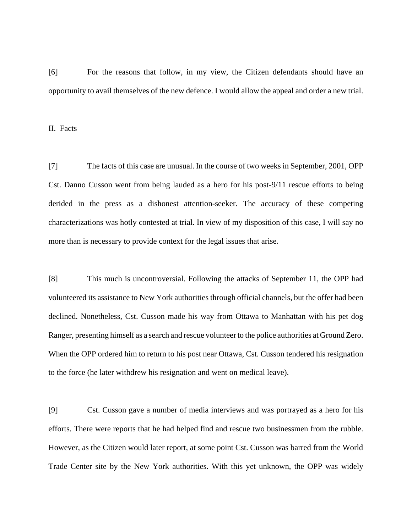[6] For the reasons that follow, in my view, the Citizen defendants should have an opportunity to avail themselves of the new defence. I would allow the appeal and order a new trial.

II. Facts

[7] The facts of this case are unusual. In the course of two weeks in September, 2001, OPP Cst. Danno Cusson went from being lauded as a hero for his post-9/11 rescue efforts to being derided in the press as a dishonest attention-seeker. The accuracy of these competing characterizations was hotly contested at trial. In view of my disposition of this case, I will say no more than is necessary to provide context for the legal issues that arise.

[8] This much is uncontroversial. Following the attacks of September 11, the OPP had volunteered its assistance to New York authorities through official channels, but the offer had been declined. Nonetheless, Cst. Cusson made his way from Ottawa to Manhattan with his pet dog Ranger, presenting himself as a search and rescue volunteer to the police authorities at Ground Zero. When the OPP ordered him to return to his post near Ottawa, Cst. Cusson tendered his resignation to the force (he later withdrew his resignation and went on medical leave).

[9] Cst. Cusson gave a number of media interviews and was portrayed as a hero for his efforts. There were reports that he had helped find and rescue two businessmen from the rubble. However, as the Citizen would later report, at some point Cst. Cusson was barred from the World Trade Center site by the New York authorities. With this yet unknown, the OPP was widely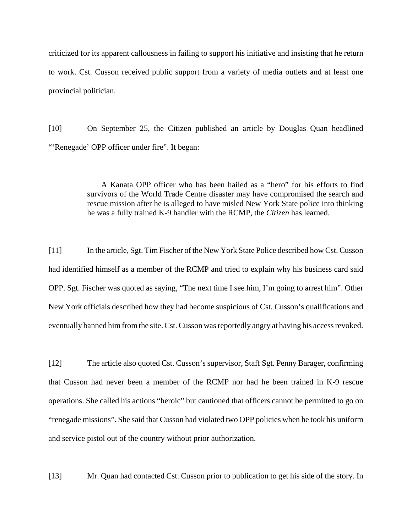criticized for its apparent callousness in failing to support his initiative and insisting that he return to work. Cst. Cusson received public support from a variety of media outlets and at least one provincial politician.

[10] On September 25, the Citizen published an article by Douglas Quan headlined "'Renegade' OPP officer under fire". It began:

> A Kanata OPP officer who has been hailed as a "hero" for his efforts to find survivors of the World Trade Centre disaster may have compromised the search and rescue mission after he is alleged to have misled New York State police into thinking he was a fully trained K-9 handler with the RCMP, the *Citizen* has learned.

[11] In the article, Sgt. Tim Fischer of the New York State Police described how Cst. Cusson had identified himself as a member of the RCMP and tried to explain why his business card said OPP. Sgt. Fischer was quoted as saying, "The next time I see him, I'm going to arrest him". Other New York officials described how they had become suspicious of Cst. Cusson's qualifications and eventually banned him from the site. Cst. Cusson was reportedly angry at having his access revoked.

[12] The article also quoted Cst. Cusson's supervisor, Staff Sgt. Penny Barager, confirming that Cusson had never been a member of the RCMP nor had he been trained in K-9 rescue operations. She called his actions "heroic" but cautioned that officers cannot be permitted to go on "renegade missions". She said that Cusson had violated two OPP policies when he took his uniform and service pistol out of the country without prior authorization.

[13] Mr. Quan had contacted Cst. Cusson prior to publication to get his side of the story. In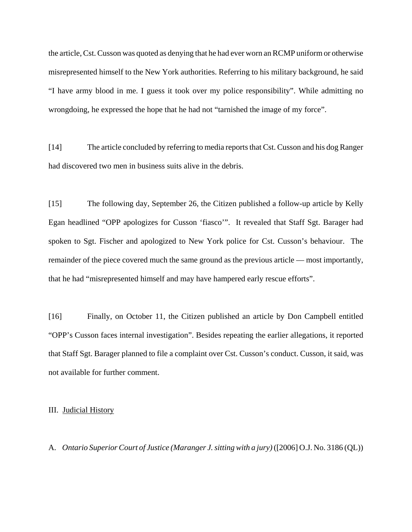the article, Cst. Cusson was quoted as denying that he had ever worn an RCMP uniform or otherwise misrepresented himself to the New York authorities. Referring to his military background, he said "I have army blood in me. I guess it took over my police responsibility". While admitting no wrongdoing, he expressed the hope that he had not "tarnished the image of my force".

[14] The article concluded by referring to media reports that Cst. Cusson and his dog Ranger had discovered two men in business suits alive in the debris.

[15] The following day, September 26, the Citizen published a follow-up article by Kelly Egan headlined "OPP apologizes for Cusson 'fiasco'". It revealed that Staff Sgt. Barager had spoken to Sgt. Fischer and apologized to New York police for Cst. Cusson's behaviour. The remainder of the piece covered much the same ground as the previous article — most importantly, that he had "misrepresented himself and may have hampered early rescue efforts".

[16] Finally, on October 11, the Citizen published an article by Don Campbell entitled "OPP's Cusson faces internal investigation". Besides repeating the earlier allegations, it reported that Staff Sgt. Barager planned to file a complaint over Cst. Cusson's conduct. Cusson, it said, was not available for further comment.

III. Judicial History

A. *Ontario Superior Court of Justice (Maranger J. sitting with a jury)* ([2006] O.J. No. 3186 (QL))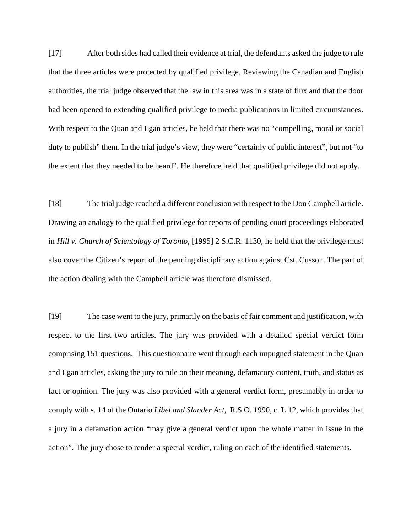[17] After both sides had called their evidence at trial, the defendants asked the judge to rule that the three articles were protected by qualified privilege. Reviewing the Canadian and English authorities, the trial judge observed that the law in this area was in a state of flux and that the door had been opened to extending qualified privilege to media publications in limited circumstances. With respect to the Quan and Egan articles, he held that there was no "compelling, moral or social duty to publish" them. In the trial judge's view, they were "certainly of public interest", but not "to the extent that they needed to be heard". He therefore held that qualified privilege did not apply.

[18] The trial judge reached a different conclusion with respect to the Don Campbell article. Drawing an analogy to the qualified privilege for reports of pending court proceedings elaborated in *Hill v. Church of Scientology of Toronto*, [1995] 2 S.C.R. 1130, he held that the privilege must also cover the Citizen's report of the pending disciplinary action against Cst. Cusson. The part of the action dealing with the Campbell article was therefore dismissed.

[19] The case went to the jury, primarily on the basis of fair comment and justification, with respect to the first two articles. The jury was provided with a detailed special verdict form comprising 151 questions. This questionnaire went through each impugned statement in the Quan and Egan articles, asking the jury to rule on their meaning, defamatory content, truth, and status as fact or opinion. The jury was also provided with a general verdict form, presumably in order to comply with s. 14 of the Ontario *Libel and Slander Act*, R.S.O. 1990, c. L.12, which provides that a jury in a defamation action "may give a general verdict upon the whole matter in issue in the action". The jury chose to render a special verdict, ruling on each of the identified statements.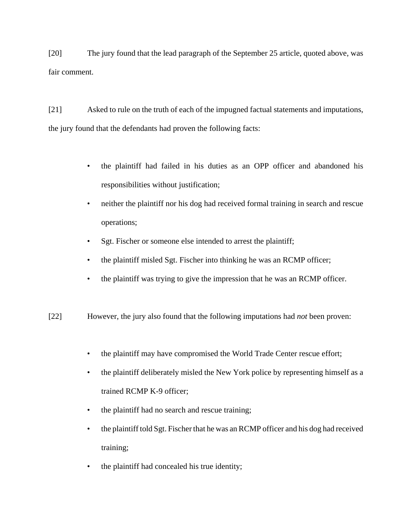[20] The jury found that the lead paragraph of the September 25 article, quoted above, was fair comment.

[21] Asked to rule on the truth of each of the impugned factual statements and imputations, the jury found that the defendants had proven the following facts:

- the plaintiff had failed in his duties as an OPP officer and abandoned his responsibilities without justification;
- neither the plaintiff nor his dog had received formal training in search and rescue operations;
- Sgt. Fischer or someone else intended to arrest the plaintiff;
- the plaintiff misled Sgt. Fischer into thinking he was an RCMP officer;
- the plaintiff was trying to give the impression that he was an RCMP officer.
- [22] However, the jury also found that the following imputations had *not* been proven:
	- the plaintiff may have compromised the World Trade Center rescue effort;
	- the plaintiff deliberately misled the New York police by representing himself as a trained RCMP K-9 officer;
	- the plaintiff had no search and rescue training;
	- the plaintiff told Sgt. Fischer that he was an RCMP officer and his dog had received training;
	- the plaintiff had concealed his true identity;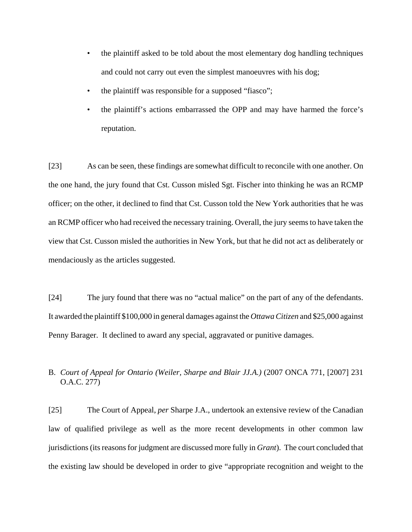- the plaintiff asked to be told about the most elementary dog handling techniques and could not carry out even the simplest manoeuvres with his dog;
- the plaintiff was responsible for a supposed "fiasco";
- the plaintiff's actions embarrassed the OPP and may have harmed the force's reputation.

[23] As can be seen, these findings are somewhat difficult to reconcile with one another. On the one hand, the jury found that Cst. Cusson misled Sgt. Fischer into thinking he was an RCMP officer; on the other, it declined to find that Cst. Cusson told the New York authorities that he was an RCMP officer who had received the necessary training. Overall, the jury seems to have taken the view that Cst. Cusson misled the authorities in New York, but that he did not act as deliberately or mendaciously as the articles suggested.

[24] The jury found that there was no "actual malice" on the part of any of the defendants. It awarded the plaintiff \$100,000 in general damages against the *Ottawa Citizen* and \$25,000 against Penny Barager. It declined to award any special, aggravated or punitive damages.

# B. *Court of Appeal for Ontario (Weiler, Sharpe and Blair JJ.A.)* (2007 ONCA 771, [2007] 231 O.A.C. 277)

[25] The Court of Appeal, *per* Sharpe J.A., undertook an extensive review of the Canadian law of qualified privilege as well as the more recent developments in other common law jurisdictions (its reasons for judgment are discussed more fully in *Grant*). The court concluded that the existing law should be developed in order to give "appropriate recognition and weight to the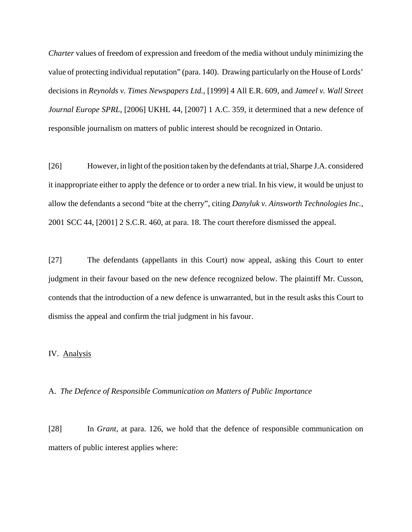*Charter* values of freedom of expression and freedom of the media without unduly minimizing the value of protecting individual reputation" (para. 140). Drawing particularly on the House of Lords' decisions in *Reynolds v. Times Newspapers Ltd.*, [1999] 4 All E.R. 609, and *Jameel v. Wall Street Journal Europe SPRL*, [2006] UKHL 44, [2007] 1 A.C. 359, it determined that a new defence of responsible journalism on matters of public interest should be recognized in Ontario.

[26] However, in light of the position taken by the defendants at trial, Sharpe J.A. considered it inappropriate either to apply the defence or to order a new trial. In his view, it would be unjust to allow the defendants a second "bite at the cherry", citing *Danyluk v. Ainsworth Technologies Inc.*, 2001 SCC 44, [2001] 2 S.C.R. 460, at para. 18. The court therefore dismissed the appeal.

[27] The defendants (appellants in this Court) now appeal, asking this Court to enter judgment in their favour based on the new defence recognized below. The plaintiff Mr. Cusson, contends that the introduction of a new defence is unwarranted, but in the result asks this Court to dismiss the appeal and confirm the trial judgment in his favour.

### IV. Analysis

### A. *The Defence of Responsible Communication on Matters of Public Importance*

[28] In *Grant*, at para. 126, we hold that the defence of responsible communication on matters of public interest applies where: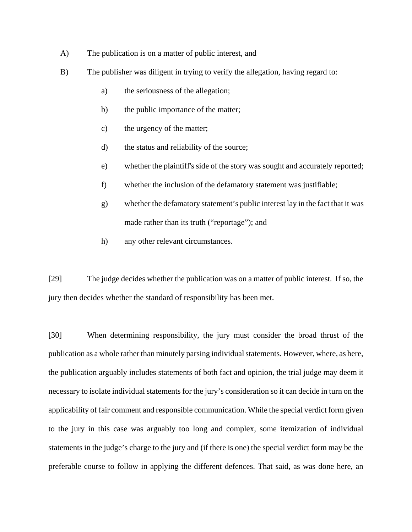- A) The publication is on a matter of public interest, and
- B) The publisher was diligent in trying to verify the allegation, having regard to:
	- a) the seriousness of the allegation;
	- b) the public importance of the matter;
	- c) the urgency of the matter;
	- d) the status and reliability of the source;
	- e) whether the plaintiff's side of the story was sought and accurately reported;
	- f) whether the inclusion of the defamatory statement was justifiable;
	- g) whether the defamatory statement's public interest lay in the fact that it was made rather than its truth ("reportage"); and
	- h) any other relevant circumstances.

[29] The judge decides whether the publication was on a matter of public interest. If so, the jury then decides whether the standard of responsibility has been met.

[30] When determining responsibility, the jury must consider the broad thrust of the publication as a whole rather than minutely parsing individual statements. However, where, as here, the publication arguably includes statements of both fact and opinion, the trial judge may deem it necessary to isolate individual statements for the jury's consideration so it can decide in turn on the applicability of fair comment and responsible communication. While the special verdict form given to the jury in this case was arguably too long and complex, some itemization of individual statements in the judge's charge to the jury and (if there is one) the special verdict form may be the preferable course to follow in applying the different defences. That said, as was done here, an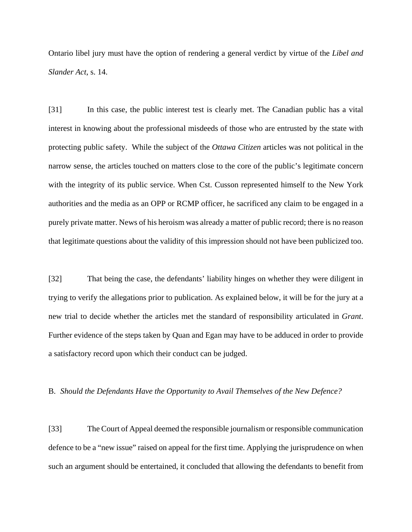Ontario libel jury must have the option of rendering a general verdict by virtue of the *Libel and Slander Act*, s. 14.

[31] In this case, the public interest test is clearly met. The Canadian public has a vital interest in knowing about the professional misdeeds of those who are entrusted by the state with protecting public safety. While the subject of the *Ottawa Citizen* articles was not political in the narrow sense, the articles touched on matters close to the core of the public's legitimate concern with the integrity of its public service. When Cst. Cusson represented himself to the New York authorities and the media as an OPP or RCMP officer, he sacrificed any claim to be engaged in a purely private matter. News of his heroism was already a matter of public record; there is no reason that legitimate questions about the validity of this impression should not have been publicized too.

[32] That being the case, the defendants' liability hinges on whether they were diligent in trying to verify the allegations prior to publication. As explained below, it will be for the jury at a new trial to decide whether the articles met the standard of responsibility articulated in *Grant*. Further evidence of the steps taken by Quan and Egan may have to be adduced in order to provide a satisfactory record upon which their conduct can be judged.

### B. *Should the Defendants Have the Opportunity to Avail Themselves of the New Defence?*

[33] The Court of Appeal deemed the responsible journalism or responsible communication defence to be a "new issue" raised on appeal for the first time. Applying the jurisprudence on when such an argument should be entertained, it concluded that allowing the defendants to benefit from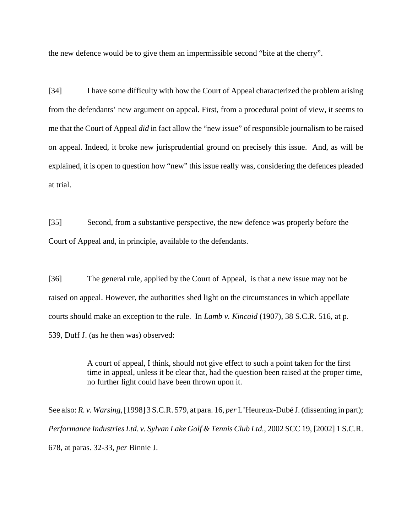the new defence would be to give them an impermissible second "bite at the cherry".

[34] I have some difficulty with how the Court of Appeal characterized the problem arising from the defendants' new argument on appeal. First, from a procedural point of view, it seems to me that the Court of Appeal *did* in fact allow the "new issue" of responsible journalism to be raised on appeal. Indeed, it broke new jurisprudential ground on precisely this issue. And, as will be explained, it is open to question how "new" this issue really was, considering the defences pleaded at trial.

[35] Second, from a substantive perspective, the new defence was properly before the Court of Appeal and, in principle, available to the defendants.

[36] The general rule, applied by the Court of Appeal, is that a new issue may not be raised on appeal. However, the authorities shed light on the circumstances in which appellate courts should make an exception to the rule. In *Lamb v. Kincaid* (1907), 38 S.C.R. 516, at p. 539, Duff J. (as he then was) observed:

> A court of appeal, I think, should not give effect to such a point taken for the first time in appeal, unless it be clear that, had the question been raised at the proper time, no further light could have been thrown upon it.

See also: *R. v. Warsing*, [1998] 3 S.C.R. 579, at para. 16, *per* L'Heureux-Dubé J. (dissenting in part); *Performance Industries Ltd. v. Sylvan Lake Golf & Tennis Club Ltd.*, 2002 SCC 19, [2002] 1 S.C.R. 678, at paras. 32-33, *per* Binnie J.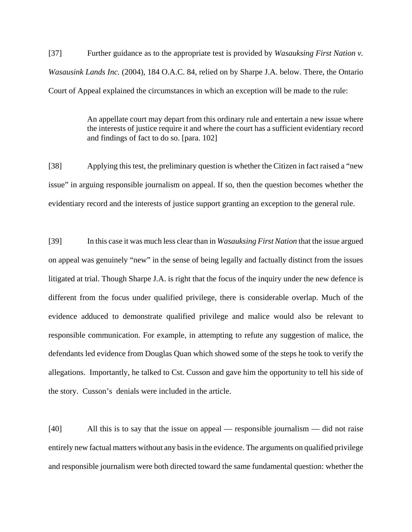[37] Further guidance as to the appropriate test is provided by *Wasauksing First Nation v. Wasausink Lands Inc.* (2004), 184 O.A.C. 84, relied on by Sharpe J.A. below. There, the Ontario Court of Appeal explained the circumstances in which an exception will be made to the rule:

> An appellate court may depart from this ordinary rule and entertain a new issue where the interests of justice require it and where the court has a sufficient evidentiary record and findings of fact to do so. [para. 102]

[38] Applying this test, the preliminary question is whether the Citizen in fact raised a "new issue" in arguing responsible journalism on appeal. If so, then the question becomes whether the evidentiary record and the interests of justice support granting an exception to the general rule.

[39] In this case it was much less clear than in *Wasauksing First Nation* that the issue argued on appeal was genuinely "new" in the sense of being legally and factually distinct from the issues litigated at trial. Though Sharpe J.A. is right that the focus of the inquiry under the new defence is different from the focus under qualified privilege, there is considerable overlap. Much of the evidence adduced to demonstrate qualified privilege and malice would also be relevant to responsible communication. For example, in attempting to refute any suggestion of malice, the defendants led evidence from Douglas Quan which showed some of the steps he took to verify the allegations. Importantly, he talked to Cst. Cusson and gave him the opportunity to tell his side of the story. Cusson's denials were included in the article.

[40] All this is to say that the issue on appeal — responsible journalism — did not raise entirely new factual matters without any basis in the evidence. The arguments on qualified privilege and responsible journalism were both directed toward the same fundamental question: whether the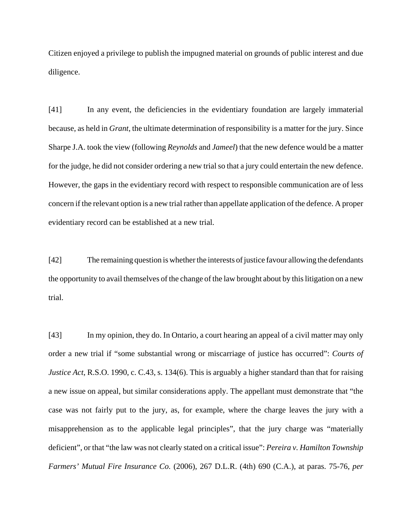Citizen enjoyed a privilege to publish the impugned material on grounds of public interest and due diligence.

[41] In any event, the deficiencies in the evidentiary foundation are largely immaterial because, as held in *Grant*, the ultimate determination of responsibility is a matter for the jury. Since Sharpe J.A. took the view (following *Reynolds* and *Jameel*) that the new defence would be a matter for the judge, he did not consider ordering a new trial so that a jury could entertain the new defence. However, the gaps in the evidentiary record with respect to responsible communication are of less concern if the relevant option is a new trial rather than appellate application of the defence. A proper evidentiary record can be established at a new trial.

[42] The remaining question is whether the interests of justice favour allowing the defendants the opportunity to avail themselves of the change of the law brought about by this litigation on a new trial.

[43] In my opinion, they do. In Ontario, a court hearing an appeal of a civil matter may only order a new trial if "some substantial wrong or miscarriage of justice has occurred": *Courts of Justice Act*, R.S.O. 1990, c. C.43, s. 134(6). This is arguably a higher standard than that for raising a new issue on appeal, but similar considerations apply. The appellant must demonstrate that "the case was not fairly put to the jury, as, for example, where the charge leaves the jury with a misapprehension as to the applicable legal principles", that the jury charge was "materially deficient", or that "the law was not clearly stated on a critical issue": *Pereira v. Hamilton Township Farmers' Mutual Fire Insurance Co.* (2006), 267 D.L.R. (4th) 690 (C.A.), at paras. 75-76, *per*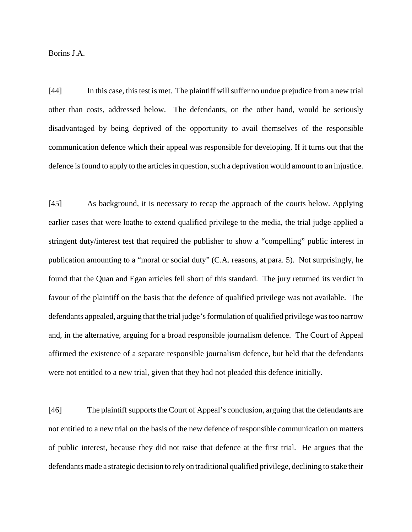Borins J.A.

[44] In this case, this test is met. The plaintiff will suffer no undue prejudice from a new trial other than costs, addressed below. The defendants, on the other hand, would be seriously disadvantaged by being deprived of the opportunity to avail themselves of the responsible communication defence which their appeal was responsible for developing. If it turns out that the defence is found to apply to the articles in question, such a deprivation would amount to an injustice.

[45] As background, it is necessary to recap the approach of the courts below. Applying earlier cases that were loathe to extend qualified privilege to the media, the trial judge applied a stringent duty/interest test that required the publisher to show a "compelling" public interest in publication amounting to a "moral or social duty" (C.A. reasons, at para. 5). Not surprisingly, he found that the Quan and Egan articles fell short of this standard. The jury returned its verdict in favour of the plaintiff on the basis that the defence of qualified privilege was not available. The defendants appealed, arguing that the trial judge's formulation of qualified privilege was too narrow and, in the alternative, arguing for a broad responsible journalism defence. The Court of Appeal affirmed the existence of a separate responsible journalism defence, but held that the defendants were not entitled to a new trial, given that they had not pleaded this defence initially.

[46] The plaintiff supports the Court of Appeal's conclusion, arguing that the defendants are not entitled to a new trial on the basis of the new defence of responsible communication on matters of public interest, because they did not raise that defence at the first trial. He argues that the defendants made a strategic decision to rely on traditional qualified privilege, declining to stake their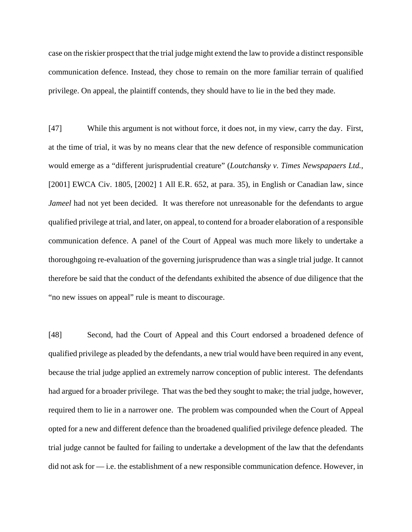case on the riskier prospect that the trial judge might extend the law to provide a distinct responsible communication defence. Instead, they chose to remain on the more familiar terrain of qualified privilege. On appeal, the plaintiff contends, they should have to lie in the bed they made.

[47] While this argument is not without force, it does not, in my view, carry the day. First, at the time of trial, it was by no means clear that the new defence of responsible communication would emerge as a "different jurisprudential creature" (*Loutchansky v. Times Newspapaers Ltd.*, [2001] EWCA Civ. 1805, [2002] 1 All E.R. 652, at para. 35), in English or Canadian law, since *Jameel* had not yet been decided. It was therefore not unreasonable for the defendants to argue qualified privilege at trial, and later, on appeal, to contend for a broader elaboration of a responsible communication defence. A panel of the Court of Appeal was much more likely to undertake a thoroughgoing re-evaluation of the governing jurisprudence than was a single trial judge. It cannot therefore be said that the conduct of the defendants exhibited the absence of due diligence that the "no new issues on appeal" rule is meant to discourage.

[48] Second, had the Court of Appeal and this Court endorsed a broadened defence of qualified privilege as pleaded by the defendants, a new trial would have been required in any event, because the trial judge applied an extremely narrow conception of public interest. The defendants had argued for a broader privilege. That was the bed they sought to make; the trial judge, however, required them to lie in a narrower one. The problem was compounded when the Court of Appeal opted for a new and different defence than the broadened qualified privilege defence pleaded. The trial judge cannot be faulted for failing to undertake a development of the law that the defendants did not ask for — i.e. the establishment of a new responsible communication defence. However, in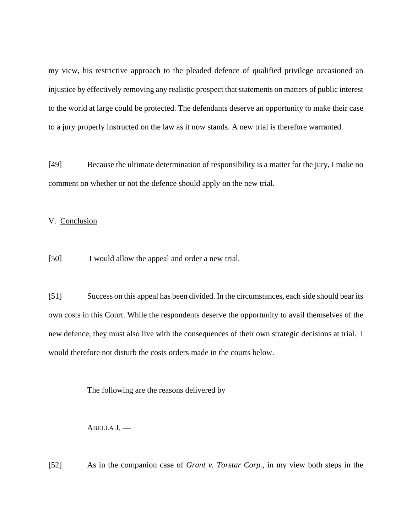my view, his restrictive approach to the pleaded defence of qualified privilege occasioned an injustice by effectively removing any realistic prospect that statements on matters of public interest to the world at large could be protected. The defendants deserve an opportunity to make their case to a jury properly instructed on the law as it now stands. A new trial is therefore warranted.

[49] Because the ultimate determination of responsibility is a matter for the jury, I make no comment on whether or not the defence should apply on the new trial.

V. Conclusion

[50] I would allow the appeal and order a new trial.

[51] Success on this appeal has been divided. In the circumstances, each side should bear its own costs in this Court. While the respondents deserve the opportunity to avail themselves of the new defence, they must also live with the consequences of their own strategic decisions at trial. I would therefore not disturb the costs orders made in the courts below.

The following are the reasons delivered by

ABELLA J. —

[52] As in the companion case of *Grant v. Torstar Corp.*, in my view both steps in the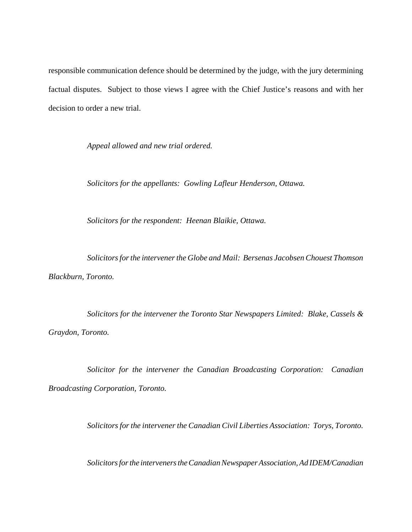responsible communication defence should be determined by the judge, with the jury determining factual disputes. Subject to those views I agree with the Chief Justice's reasons and with her decision to order a new trial.

*Appeal allowed and new trial ordered.*

*Solicitors for the appellants: Gowling Lafleur Henderson, Ottawa.*

*Solicitors for the respondent: Heenan Blaikie, Ottawa.*

*Solicitors for the intervener the Globe and Mail: Bersenas Jacobsen Chouest Thomson Blackburn, Toronto.*

*Solicitors for the intervener the Toronto Star Newspapers Limited: Blake, Cassels & Graydon, Toronto.*

*Solicitor for the intervener the Canadian Broadcasting Corporation: Canadian Broadcasting Corporation, Toronto.*

*Solicitors for the intervener the Canadian Civil Liberties Association: Torys, Toronto.*

*Solicitors for the interveners the Canadian Newspaper Association, Ad IDEM/Canadian*